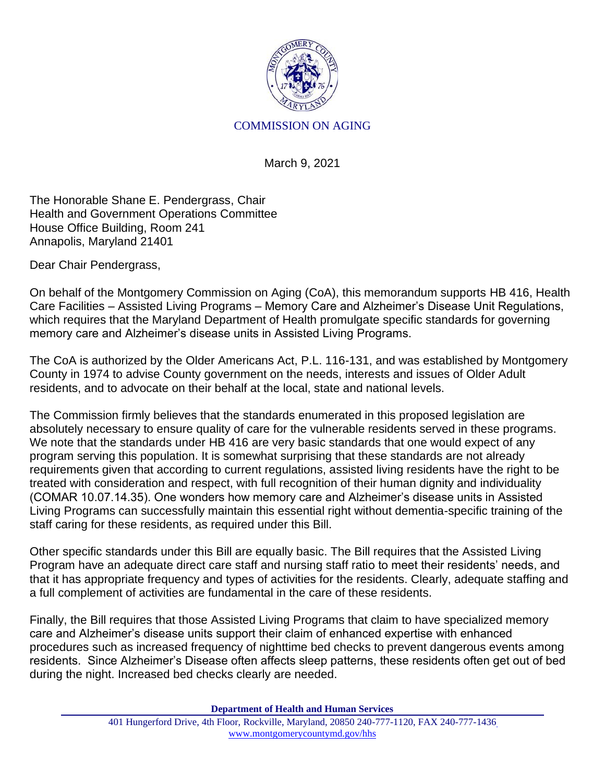

## COMMISSION ON AGING

March 9, 2021

The Honorable Shane E. Pendergrass, Chair Health and Government Operations Committee House Office Building, Room 241 Annapolis, Maryland 21401

Dear Chair Pendergrass,

On behalf of the Montgomery Commission on Aging (CoA), this memorandum supports HB 416, Health Care Facilities – Assisted Living Programs – Memory Care and Alzheimer's Disease Unit Regulations, which requires that the Maryland Department of Health promulgate specific standards for governing memory care and Alzheimer's disease units in Assisted Living Programs.

The CoA is authorized by the Older Americans Act, P.L. 116-131, and was established by Montgomery County in 1974 to advise County government on the needs, interests and issues of Older Adult residents, and to advocate on their behalf at the local, state and national levels.

The Commission firmly believes that the standards enumerated in this proposed legislation are absolutely necessary to ensure quality of care for the vulnerable residents served in these programs. We note that the standards under HB 416 are very basic standards that one would expect of any program serving this population. It is somewhat surprising that these standards are not already requirements given that according to current regulations, assisted living residents have the right to be treated with consideration and respect, with full recognition of their human dignity and individuality (COMAR 10.07.14.35). One wonders how memory care and Alzheimer's disease units in Assisted Living Programs can successfully maintain this essential right without dementia-specific training of the staff caring for these residents, as required under this Bill.

Other specific standards under this Bill are equally basic. The Bill requires that the Assisted Living Program have an adequate direct care staff and nursing staff ratio to meet their residents' needs, and that it has appropriate frequency and types of activities for the residents. Clearly, adequate staffing and a full complement of activities are fundamental in the care of these residents.

Finally, the Bill requires that those Assisted Living Programs that claim to have specialized memory care and Alzheimer's disease units support their claim of enhanced expertise with enhanced procedures such as increased frequency of nighttime bed checks to prevent dangerous events among residents. Since Alzheimer's Disease often affects sleep patterns, these residents often get out of bed during the night. Increased bed checks clearly are needed.

**Department of Health and Human Services**